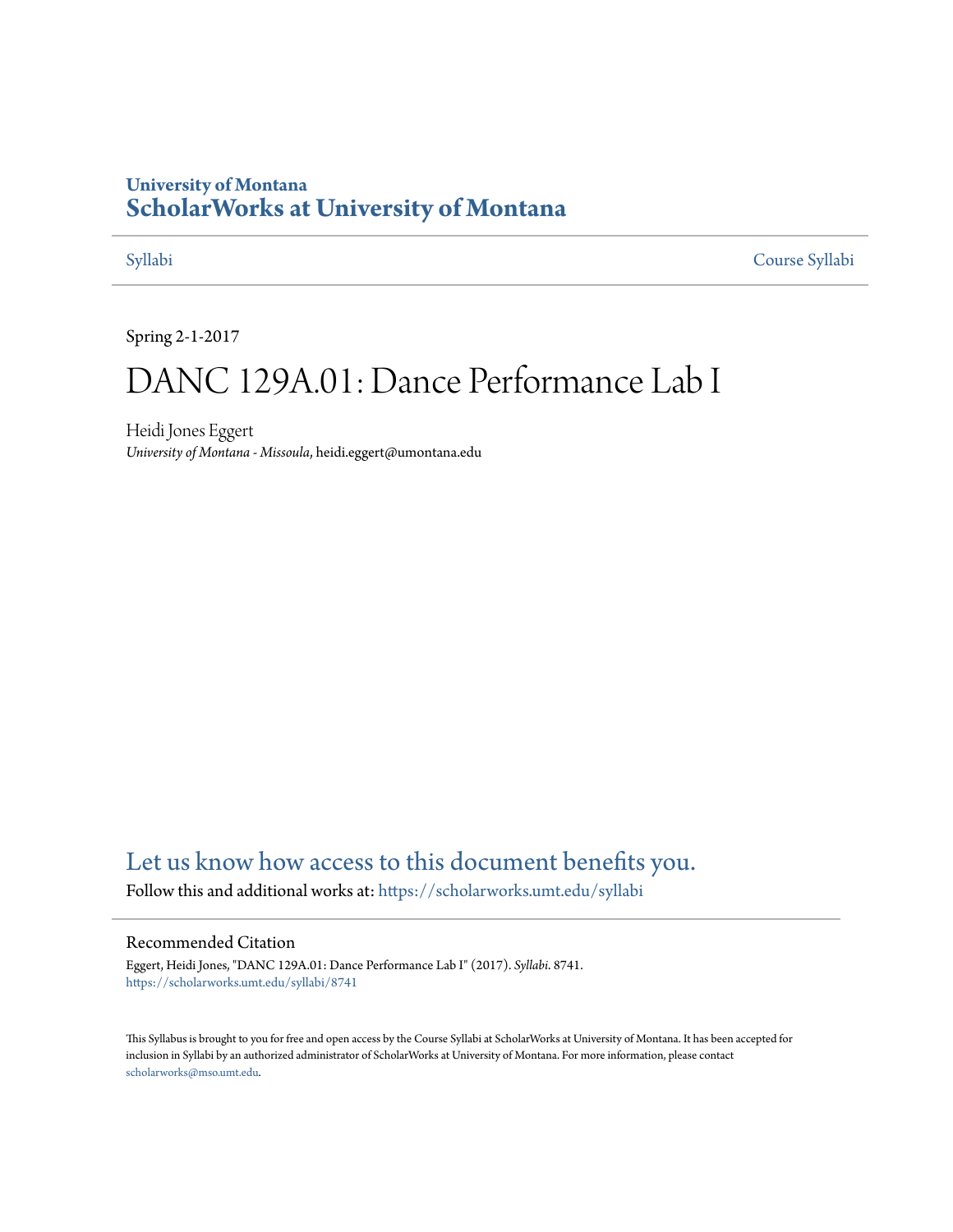## **University of Montana [ScholarWorks at University of Montana](https://scholarworks.umt.edu?utm_source=scholarworks.umt.edu%2Fsyllabi%2F8741&utm_medium=PDF&utm_campaign=PDFCoverPages)**

[Syllabi](https://scholarworks.umt.edu/syllabi?utm_source=scholarworks.umt.edu%2Fsyllabi%2F8741&utm_medium=PDF&utm_campaign=PDFCoverPages) [Course Syllabi](https://scholarworks.umt.edu/course_syllabi?utm_source=scholarworks.umt.edu%2Fsyllabi%2F8741&utm_medium=PDF&utm_campaign=PDFCoverPages)

Spring 2-1-2017

# DANC 129A.01: Dance Performance Lab I

Heidi Jones Eggert *University of Montana - Missoula*, heidi.eggert@umontana.edu

# [Let us know how access to this document benefits you.](https://goo.gl/forms/s2rGfXOLzz71qgsB2)

Follow this and additional works at: [https://scholarworks.umt.edu/syllabi](https://scholarworks.umt.edu/syllabi?utm_source=scholarworks.umt.edu%2Fsyllabi%2F8741&utm_medium=PDF&utm_campaign=PDFCoverPages)

#### Recommended Citation

Eggert, Heidi Jones, "DANC 129A.01: Dance Performance Lab I" (2017). *Syllabi*. 8741. [https://scholarworks.umt.edu/syllabi/8741](https://scholarworks.umt.edu/syllabi/8741?utm_source=scholarworks.umt.edu%2Fsyllabi%2F8741&utm_medium=PDF&utm_campaign=PDFCoverPages)

This Syllabus is brought to you for free and open access by the Course Syllabi at ScholarWorks at University of Montana. It has been accepted for inclusion in Syllabi by an authorized administrator of ScholarWorks at University of Montana. For more information, please contact [scholarworks@mso.umt.edu](mailto:scholarworks@mso.umt.edu).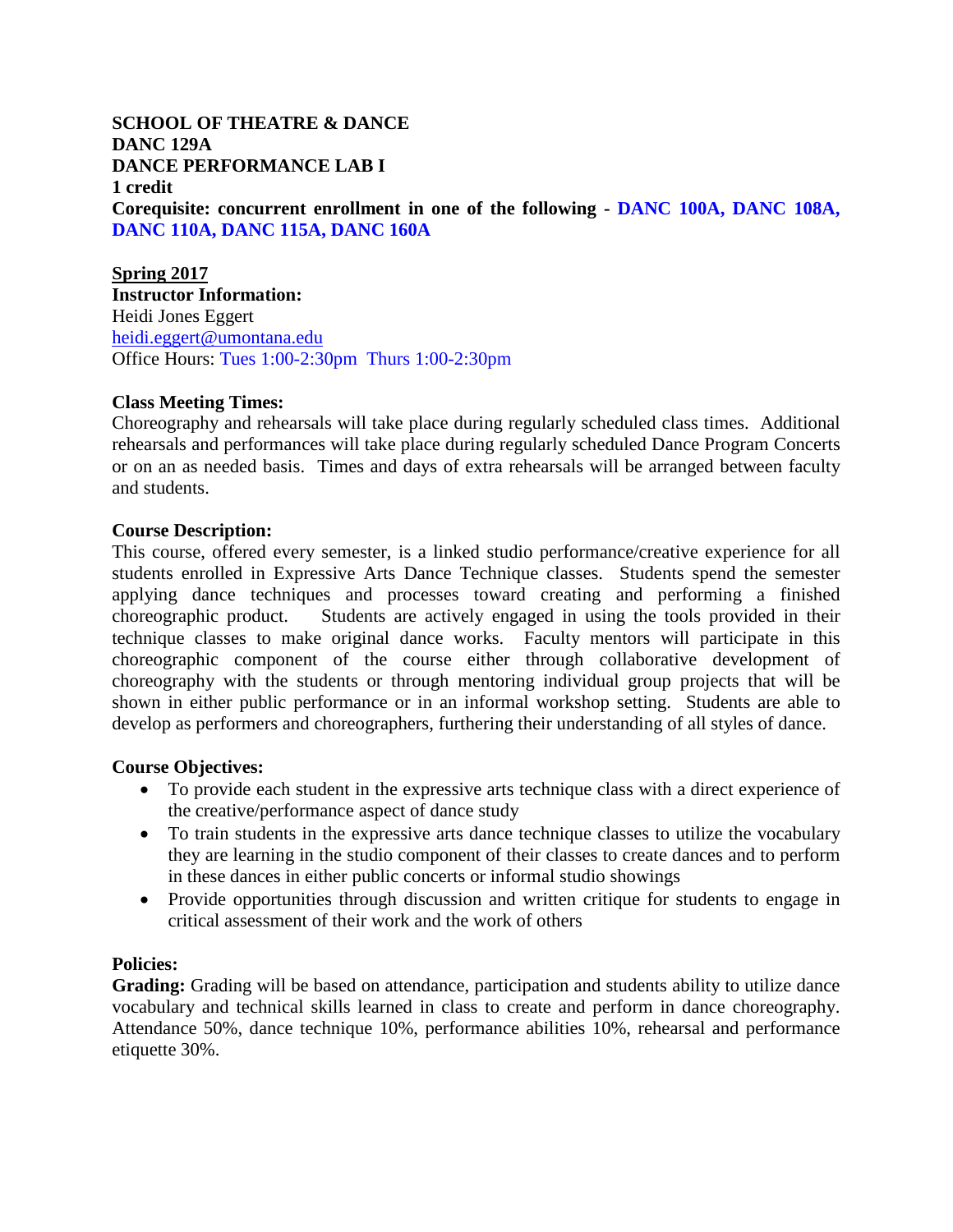**SCHOOL OF THEATRE & DANCE DANC 129A DANCE PERFORMANCE LAB I 1 credit Corequisite: concurrent enrollment in one of the following - DANC 100A, DANC 108A, DANC 110A, DANC 115A, DANC 160A** 

**Spring 2017 Instructor Information:** Heidi Jones Eggert [heidi.eggert@umontana.edu](mailto:heidi.eggert@umontana.edu)  Office Hours: Tues 1:00-2:30pm Thurs 1:00-2:30pm

#### **Class Meeting Times:**

Choreography and rehearsals will take place during regularly scheduled class times. Additional rehearsals and performances will take place during regularly scheduled Dance Program Concerts or on an as needed basis. Times and days of extra rehearsals will be arranged between faculty and students.

### **Course Description:**

This course, offered every semester, is a linked studio performance/creative experience for all students enrolled in Expressive Arts Dance Technique classes. Students spend the semester applying dance techniques and processes toward creating and performing a finished choreographic product. Students are actively engaged in using the tools provided in their technique classes to make original dance works. Faculty mentors will participate in this choreographic component of the course either through collaborative development of choreography with the students or through mentoring individual group projects that will be shown in either public performance or in an informal workshop setting. Students are able to develop as performers and choreographers, furthering their understanding of all styles of dance.

#### **Course Objectives:**

- To provide each student in the expressive arts technique class with a direct experience of the creative/performance aspect of dance study
- To train students in the expressive arts dance technique classes to utilize the vocabulary they are learning in the studio component of their classes to create dances and to perform in these dances in either public concerts or informal studio showings
- Provide opportunities through discussion and written critique for students to engage in critical assessment of their work and the work of others

#### **Policies:**

**Grading:** Grading will be based on attendance, participation and students ability to utilize dance vocabulary and technical skills learned in class to create and perform in dance choreography. Attendance 50%, dance technique 10%, performance abilities 10%, rehearsal and performance etiquette 30%.